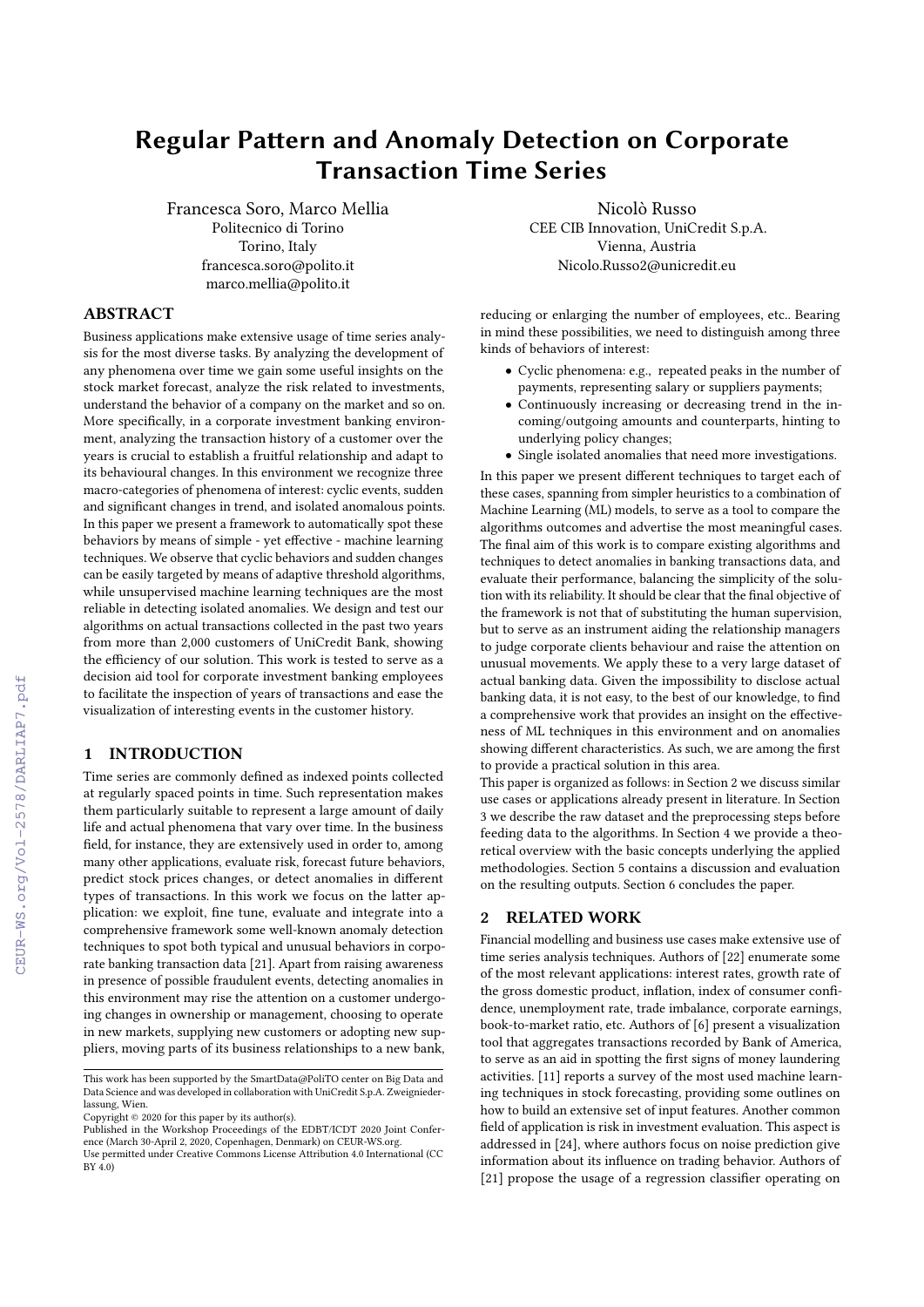# Regular Pattern and Anomaly Detection on Corporate Transaction Time Series

Francesca Soro, Marco Mellia Politecnico di Torino Torino, Italy francesca.soro@polito.it marco.mellia@polito.it

## ABSTRACT

Business applications make extensive usage of time series analysis for the most diverse tasks. By analyzing the development of any phenomena over time we gain some useful insights on the stock market forecast, analyze the risk related to investments, understand the behavior of a company on the market and so on. More specifically, in a corporate investment banking environment, analyzing the transaction history of a customer over the years is crucial to establish a fruitful relationship and adapt to its behavioural changes. In this environment we recognize three macro-categories of phenomena of interest: cyclic events, sudden and significant changes in trend, and isolated anomalous points. In this paper we present a framework to automatically spot these behaviors by means of simple - yet effective - machine learning techniques. We observe that cyclic behaviors and sudden changes can be easily targeted by means of adaptive threshold algorithms, while unsupervised machine learning techniques are the most reliable in detecting isolated anomalies. We design and test our algorithms on actual transactions collected in the past two years from more than 2,000 customers of UniCredit Bank, showing the efficiency of our solution. This work is tested to serve as a decision aid tool for corporate investment banking employees to facilitate the inspection of years of transactions and ease the visualization of interesting events in the customer history.

## 1 INTRODUCTION

Time series are commonly defined as indexed points collected at regularly spaced points in time. Such representation makes them particularly suitable to represent a large amount of daily life and actual phenomena that vary over time. In the business field, for instance, they are extensively used in order to, among many other applications, evaluate risk, forecast future behaviors, predict stock prices changes, or detect anomalies in different types of transactions. In this work we focus on the latter application: we exploit, fine tune, evaluate and integrate into a comprehensive framework some well-known anomaly detection techniques to spot both typical and unusual behaviors in corporate banking transaction data [\[21\]](#page--1-0). Apart from raising awareness in presence of possible fraudulent events, detecting anomalies in this environment may rise the attention on a customer undergoing changes in ownership or management, choosing to operate in new markets, supplying new customers or adopting new suppliers, moving parts of its business relationships to a new bank,

Copyright © 2020 for this paper by its author(s).

Nicolò Russo CEE CIB Innovation, UniCredit S.p.A. Vienna, Austria Nicolo.Russo2@unicredit.eu

reducing or enlarging the number of employees, etc.. Bearing in mind these possibilities, we need to distinguish among three kinds of behaviors of interest:

- Cyclic phenomena: e.g., repeated peaks in the number of payments, representing salary or suppliers payments;
- Continuously increasing or decreasing trend in the incoming/outgoing amounts and counterparts, hinting to underlying policy changes;
- Single isolated anomalies that need more investigations.

In this paper we present different techniques to target each of these cases, spanning from simpler heuristics to a combination of Machine Learning (ML) models, to serve as a tool to compare the algorithms outcomes and advertise the most meaningful cases. The final aim of this work is to compare existing algorithms and techniques to detect anomalies in banking transactions data, and evaluate their performance, balancing the simplicity of the solution with its reliability. It should be clear that the final objective of the framework is not that of substituting the human supervision, but to serve as an instrument aiding the relationship managers to judge corporate clients behaviour and raise the attention on unusual movements. We apply these to a very large dataset of actual banking data. Given the impossibility to disclose actual banking data, it is not easy, to the best of our knowledge, to find a comprehensive work that provides an insight on the effectiveness of ML techniques in this environment and on anomalies showing different characteristics. As such, we are among the first to provide a practical solution in this area.

This paper is organized as follows: in Section [2](#page-0-0) we discuss similar use cases or applications already present in literature. In Section [3](#page--1-1) we describe the raw dataset and the preprocessing steps before feeding data to the algorithms. In Section [4](#page--1-2) we provide a theoretical overview with the basic concepts underlying the applied methodologies. Section [5](#page--1-3) contains a discussion and evaluation on the resulting outputs. Section [6](#page--1-4) concludes the paper.

## <span id="page-0-0"></span>2 RELATED WORK

Financial modelling and business use cases make extensive use of time series analysis techniques. Authors of [\[22\]](#page--1-5) enumerate some of the most relevant applications: interest rates, growth rate of the gross domestic product, inflation, index of consumer confidence, unemployment rate, trade imbalance, corporate earnings, book-to-market ratio, etc. Authors of [\[6\]](#page--1-6) present a visualization tool that aggregates transactions recorded by Bank of America, to serve as an aid in spotting the first signs of money laundering activities. [\[11\]](#page--1-7) reports a survey of the most used machine learning techniques in stock forecasting, providing some outlines on how to build an extensive set of input features. Another common field of application is risk in investment evaluation. This aspect is addressed in [\[24\]](#page--1-8), where authors focus on noise prediction give information about its influence on trading behavior. Authors of [\[21\]](#page--1-0) propose the usage of a regression classifier operating on

This work has been supported by the SmartData@PoliTO center on Big Data and Data Science and was developed in collaboration with UniCredit S.p.A. Zweigniederlassung, Wien.

Published in the Workshop Proceedings of the EDBT/ICDT 2020 Joint Confer-ence (March 30-April 2, 2020, Copenhagen, Denmark) on CEUR-WS.org.

Use permitted under Creative Commons License Attribution 4.0 International (CC BY 4.0)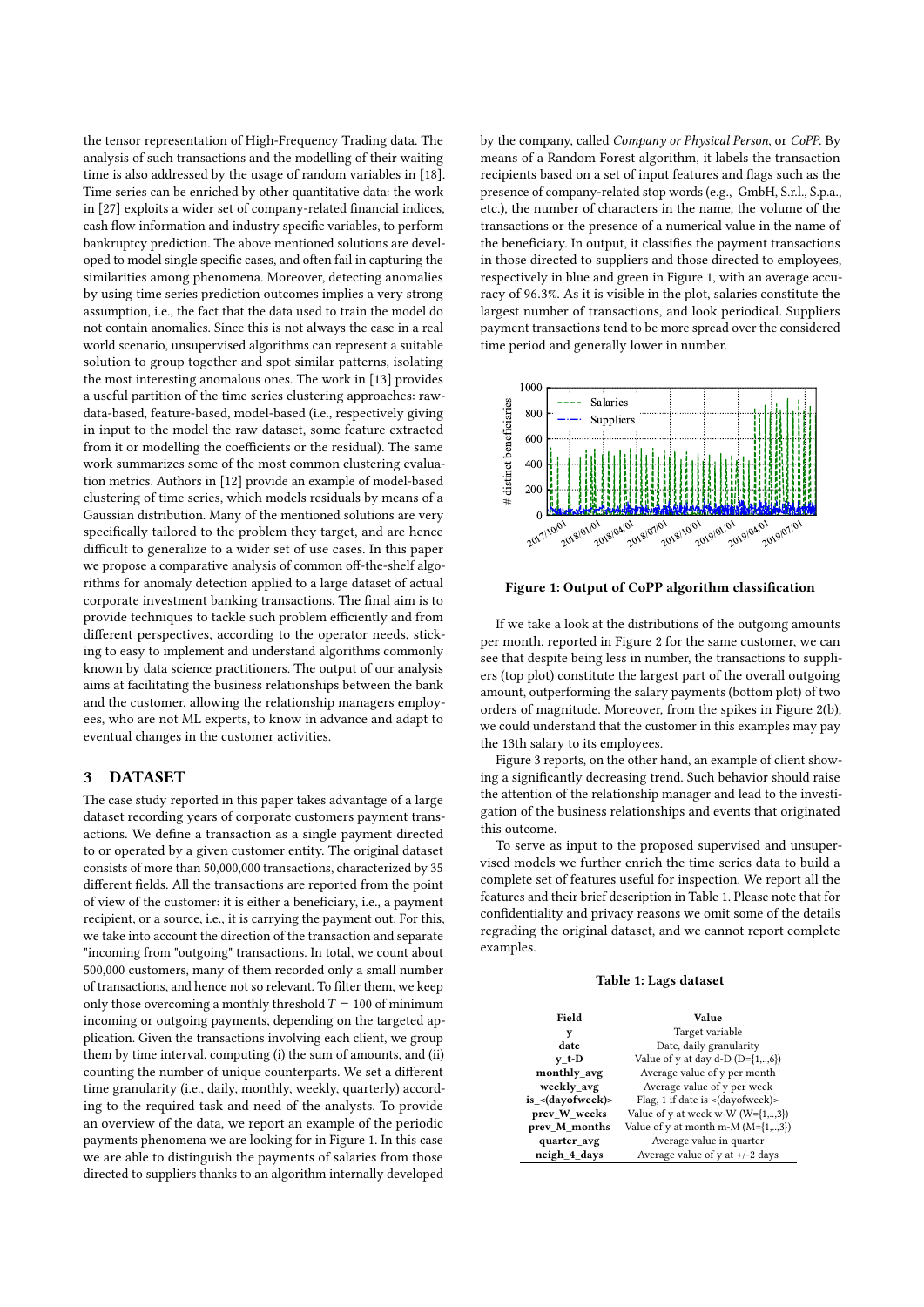the tensor representation of High-Frequency Trading data. The analysis of such transactions and the modelling of their waiting time is also addressed by the usage of random variables in [\[18\]](#page-5-0). Time series can be enriched by other quantitative data: the work in [\[27\]](#page-5-1) exploits a wider set of company-related financial indices, cash flow information and industry specific variables, to perform bankruptcy prediction. The above mentioned solutions are developed to model single specific cases, and often fail in capturing the similarities among phenomena. Moreover, detecting anomalies by using time series prediction outcomes implies a very strong assumption, i.e., the fact that the data used to train the model do not contain anomalies. Since this is not always the case in a real world scenario, unsupervised algorithms can represent a suitable solution to group together and spot similar patterns, isolating the most interesting anomalous ones. The work in [\[13\]](#page-5-2) provides a useful partition of the time series clustering approaches: rawdata-based, feature-based, model-based (i.e., respectively giving in input to the model the raw dataset, some feature extracted from it or modelling the coefficients or the residual). The same work summarizes some of the most common clustering evaluation metrics. Authors in [\[12\]](#page-5-3) provide an example of model-based clustering of time series, which models residuals by means of a Gaussian distribution. Many of the mentioned solutions are very specifically tailored to the problem they target, and are hence difficult to generalize to a wider set of use cases. In this paper we propose a comparative analysis of common off-the-shelf algorithms for anomaly detection applied to a large dataset of actual corporate investment banking transactions. The final aim is to provide techniques to tackle such problem efficiently and from different perspectives, according to the operator needs, sticking to easy to implement and understand algorithms commonly known by data science practitioners. The output of our analysis aims at facilitating the business relationships between the bank and the customer, allowing the relationship managers employees, who are not ML experts, to know in advance and adapt to eventual changes in the customer activities.

#### 3 DATASET

The case study reported in this paper takes advantage of a large dataset recording years of corporate customers payment transactions. We define a transaction as a single payment directed to or operated by a given customer entity. The original dataset consists of more than 50,000,000 transactions, characterized by 35 different fields. All the transactions are reported from the point of view of the customer: it is either a beneficiary, i.e., a payment recipient, or a source, i.e., it is carrying the payment out. For this, we take into account the direction of the transaction and separate "incoming from "outgoing" transactions. In total, we count about 500,000 customers, many of them recorded only a small number of transactions, and hence not so relevant. To filter them, we keep only those overcoming a monthly threshold  $T = 100$  of minimum incoming or outgoing payments, depending on the targeted application. Given the transactions involving each client, we group them by time interval, computing (i) the sum of amounts, and (ii) counting the number of unique counterparts. We set a different time granularity (i.e., daily, monthly, weekly, quarterly) according to the required task and need of the analysts. To provide an overview of the data, we report an example of the periodic payments phenomena we are looking for in Figure [1.](#page-1-0) In this case we are able to distinguish the payments of salaries from those directed to suppliers thanks to an algorithm internally developed

by the company, called Company or Physical Person, or CoPP. By means of a Random Forest algorithm, it labels the transaction recipients based on a set of input features and flags such as the presence of company-related stop words (e.g., GmbH, S.r.l., S.p.a., etc.), the number of characters in the name, the volume of the transactions or the presence of a numerical value in the name of the beneficiary. In output, it classifies the payment transactions in those directed to suppliers and those directed to employees, respectively in blue and green in Figure [1,](#page-1-0) with an average accuracy of <sup>96</sup>.3%. As it is visible in the plot, salaries constitute the largest number of transactions, and look periodical. Suppliers payment transactions tend to be more spread over the considered time period and generally lower in number.

<span id="page-1-0"></span>

Figure 1: Output of CoPP algorithm classification

If we take a look at the distributions of the outgoing amounts per month, reported in Figure [2](#page-2-0) for the same customer, we can see that despite being less in number, the transactions to suppliers (top plot) constitute the largest part of the overall outgoing amount, outperforming the salary payments (bottom plot) of two orders of magnitude. Moreover, from the spikes in Figure [2\(b\),](#page-2-1) we could understand that the customer in this examples may pay the 13th salary to its employees.

Figure [3](#page-2-2) reports, on the other hand, an example of client showing a significantly decreasing trend. Such behavior should raise the attention of the relationship manager and lead to the investigation of the business relationships and events that originated this outcome.

To serve as input to the proposed supervised and unsupervised models we further enrich the time series data to build a complete set of features useful for inspection. We report all the features and their brief description in Table [1.](#page-1-1) Please note that for confidentiality and privacy reasons we omit some of the details regrading the original dataset, and we cannot report complete examples.

Table 1: Lags dataset

<span id="page-1-1"></span>

| Field             | Value                                              |  |  |  |  |
|-------------------|----------------------------------------------------|--|--|--|--|
| y                 | Target variable                                    |  |  |  |  |
| date              | Date, daily granularity                            |  |  |  |  |
| $v$ t-D           | Value of y at day d-D $(D=\{1,,6\})$               |  |  |  |  |
| monthly avg       | Average value of y per month                       |  |  |  |  |
| weekly avg        | Average value of y per week                        |  |  |  |  |
| is < (dayofweek)> | Flag, 1 if date is $\langle$ dayofweek $\rangle$ > |  |  |  |  |
| prev W weeks      | Value of y at week w-W $(W=\{1,,3\})$              |  |  |  |  |
| prev_M_months     | Value of y at month m-M $(M=\{1,,3\})$             |  |  |  |  |
| quarter avg       | Average value in quarter                           |  |  |  |  |
| neigh 4 days      | Average value of $y$ at $\frac{+}{2}$ days         |  |  |  |  |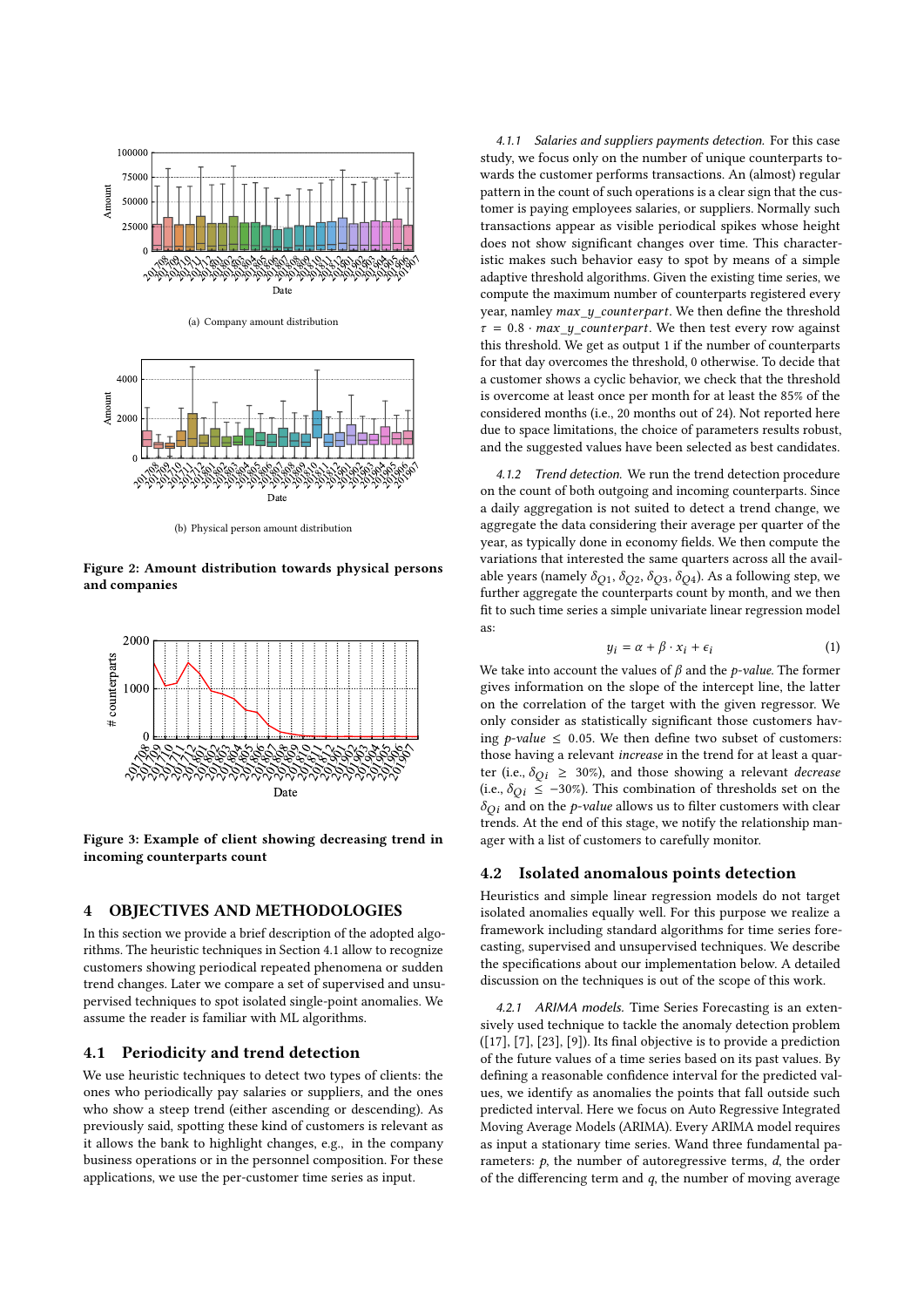<span id="page-2-0"></span>

(a) Company amount distribution



(b) Physical person amount distribution

<span id="page-2-1"></span>Figure 2: Amount distribution towards physical persons and companies

<span id="page-2-2"></span>

Figure 3: Example of client showing decreasing trend in incoming counterparts count

## <span id="page-2-4"></span>4 OBJECTIVES AND METHODOLOGIES

In this section we provide a brief description of the adopted algorithms. The heuristic techniques in Section [4.1](#page-2-3) allow to recognize customers showing periodical repeated phenomena or sudden trend changes. Later we compare a set of supervised and unsupervised techniques to spot isolated single-point anomalies. We assume the reader is familiar with ML algorithms.

#### <span id="page-2-3"></span>4.1 Periodicity and trend detection

We use heuristic techniques to detect two types of clients: the ones who periodically pay salaries or suppliers, and the ones who show a steep trend (either ascending or descending). As previously said, spotting these kind of customers is relevant as it allows the bank to highlight changes, e.g., in the company business operations or in the personnel composition. For these applications, we use the per-customer time series as input.

<span id="page-2-5"></span>4.1.1 Salaries and suppliers payments detection. For this case study, we focus only on the number of unique counterparts towards the customer performs transactions. An (almost) regular pattern in the count of such operations is a clear sign that the customer is paying employees salaries, or suppliers. Normally such transactions appear as visible periodical spikes whose height does not show significant changes over time. This characteristic makes such behavior easy to spot by means of a simple adaptive threshold algorithms. Given the existing time series, we compute the maximum number of counterparts registered every year, namley  $max_y_counter part$ . We then define the threshold  $\tau = 0.8 \cdot \text{max\_y\_counterpart}$ . We then test every row against this threshold. We get as output 1 if the number of counterparts for that day overcomes the threshold, 0 otherwise. To decide that a customer shows a cyclic behavior, we check that the threshold is overcome at least once per month for at least the 85% of the considered months (i.e., 20 months out of 24). Not reported here due to space limitations, the choice of parameters results robust, and the suggested values have been selected as best candidates.

<span id="page-2-6"></span>4.1.2 Trend detection. We run the trend detection procedure on the count of both outgoing and incoming counterparts. Since a daily aggregation is not suited to detect a trend change, we aggregate the data considering their average per quarter of the year, as typically done in economy fields. We then compute the variations that interested the same quarters across all the available years (namely  $\delta_{O1}$ ,  $\delta_{O2}$ ,  $\delta_{O3}$ ,  $\delta_{O4}$ ). As a following step, we further aggregate the counterparts count by month, and we then fit to such time series a simple univariate linear regression model as:

$$
y_i = \alpha + \beta \cdot x_i + \epsilon_i \tag{1}
$$

We take into account the values of  $\beta$  and the *p-value*. The former<br>gives information on the slope of the intercept line, the latter gives information on the slope of the intercept line, the latter on the correlation of the target with the given regressor. We only consider as statistically significant those customers having *p*-value  $\leq$  0.05. We then define two subset of customers: those having a relevant increase in the trend for at least a quarter (i.e.,  $\delta_{Qi} \geq 30\%$ ), and those showing a relevant *decrease* (i.e.,  $\delta_{Qi} \le -30\%$ ). This combination of thresholds set on the  $\delta_{Qi}$  and on the *p*-value allows us to filter customers with clear trends. At the end of this stage, we notify the relationship manager with a list of customers to carefully monitor.

#### 4.2 Isolated anomalous points detection

Heuristics and simple linear regression models do not target isolated anomalies equally well. For this purpose we realize a framework including standard algorithms for time series forecasting, supervised and unsupervised techniques. We describe the specifications about our implementation below. A detailed discussion on the techniques is out of the scope of this work.

4.2.1 ARIMA models. Time Series Forecasting is an extensively used technique to tackle the anomaly detection problem ([\[17\]](#page-5-4), [\[7\]](#page-5-5), [\[23\]](#page-5-6), [\[9\]](#page-5-7)). Its final objective is to provide a prediction of the future values of a time series based on its past values. By defining a reasonable confidence interval for the predicted values, we identify as anomalies the points that fall outside such predicted interval. Here we focus on Auto Regressive Integrated Moving Average Models (ARIMA). Every ARIMA model requires as input a stationary time series. Wand three fundamental parameters:  $p$ , the number of autoregressive terms,  $d$ , the order of the differencing term and  $q$ , the number of moving average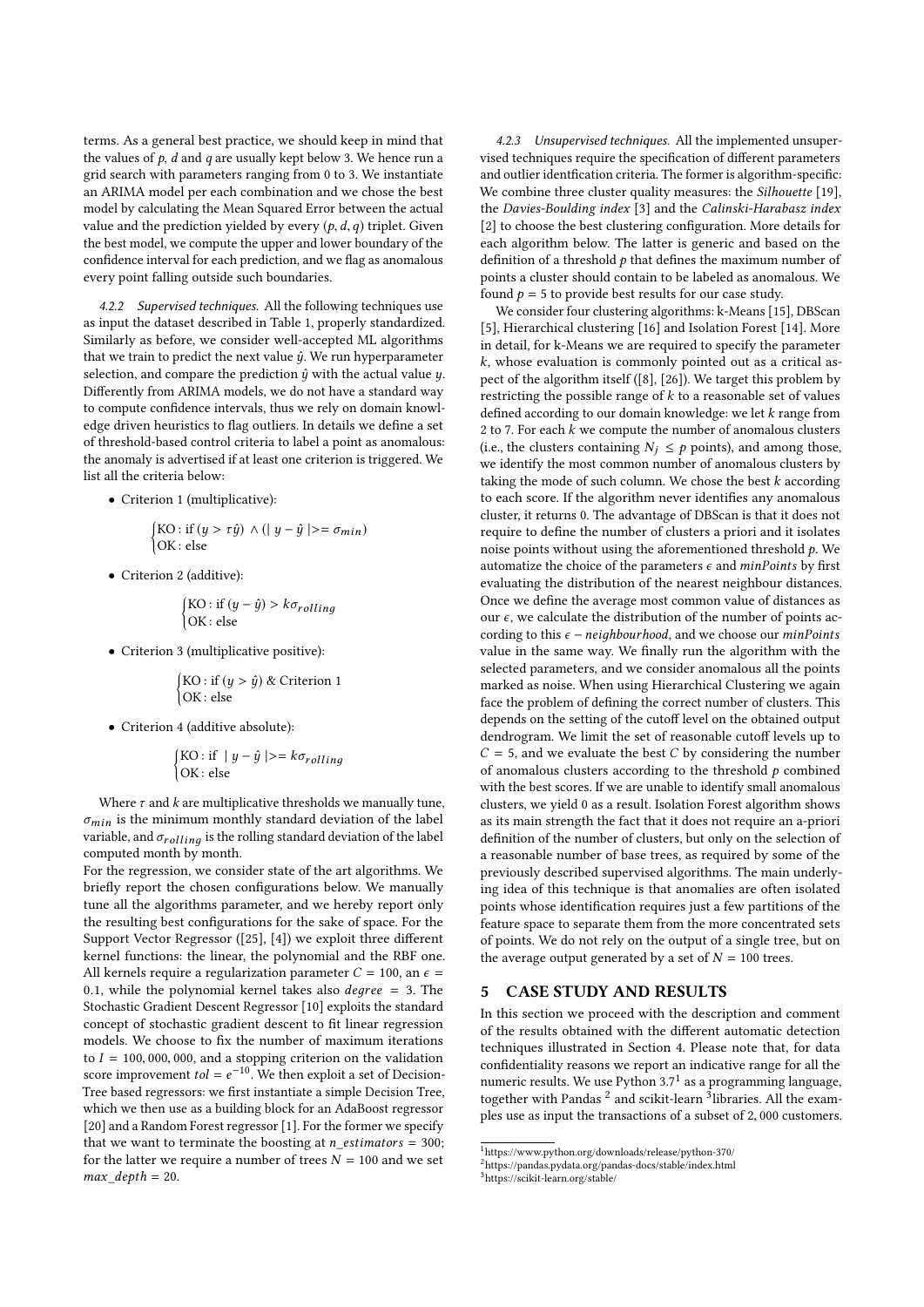terms. As a general best practice, we should keep in mind that the values of  $p$ ,  $d$  and  $q$  are usually kept below 3. We hence run a grid search with parameters ranging from 0 to 3. We instantiate an ARIMA model per each combination and we chose the best model by calculating the Mean Squared Error between the actual value and the prediction yielded by every  $(p, d, q)$  triplet. Given the best model, we compute the upper and lower boundary of the confidence interval for each prediction, and we flag as anomalous every point falling outside such boundaries.

4.2.2 Supervised techniques. All the following techniques use as input the dataset described in Table [1,](#page-1-1) properly standardized. Similarly as before, we consider well-accepted ML algorithms that we train to predict the next value  $\hat{y}$ . We run hyperparameter selection, and compare the prediction  $\hat{y}$  with the actual value  $y$ . Differently from ARIMA models, we do not have a standard way to compute confidence intervals, thus we rely on domain knowledge driven heuristics to flag outliers. In details we define a set of threshold-based control criteria to label a point as anomalous: the anomaly is advertised if at least one criterion is triggered. We list all the criteria below:

• Criterion 1 (multiplicative):

$$
\begin{cases} \text{KO}: \text{if } (y > \tau \hat{y}) \land (\mid y - \hat{y} \mid) = \sigma_{min}) \\ \text{OK}: \text{else} \end{cases}
$$

• Criterion 2 (additive):

$$
\begin{cases}\n\text{KO}: \text{if } (y - \hat{y}) > k\sigma_{rolling} \\
\text{OK}: \text{else}\n\end{cases}
$$

• Criterion 3 (multiplicative positive):

$$
\begin{cases}\n\text{KO}: \text{if } (y > \hat{y}) \& \text{Criterion 1} \\
\text{OK}: \text{else}\n\end{cases}
$$

• Criterion 4 (additive absolute):

$$
\begin{cases}\n\text{KO}: \text{if } |y - \hat{y}| >= k\sigma_{rolling} \\
\text{OK}: \text{else}\n\end{cases}
$$

Where  $\tau$  and  $k$  are multiplicative thresholds we manually tune,  $\sigma_{min}$  is the minimum monthly standard deviation of the label variable, and  $\sigma_{rolling}$  is the rolling standard deviation of the label computed month by month.

For the regression, we consider state of the art algorithms. We briefly report the chosen configurations below. We manually tune all the algorithms parameter, and we hereby report only the resulting best configurations for the sake of space. For the Support Vector Regressor ([\[25\]](#page-5-8), [\[4\]](#page-5-9)) we exploit three different kernel functions: the linear, the polynomial and the RBF one. All kernels require a regularization parameter  $C = 100$ , an  $\epsilon =$ 0.1, while the polynomial kernel takes also *degree* = 3. The Stochastic Gradient Descent Regressor [\[10\]](#page-5-10) exploits the standard concept of stochastic gradient descent to fit linear regression models. We choose to fix the number of maximum iterations to  $I = 100,000,000,$  and a stopping criterion on the validation score improvement  $tol = e^{-10}$ . We then exploit a set of Decision-<br>Tree based regressors: we first instantiate a simple Decision Tree. Tree based regressors: we first instantiate a simple Decision Tree, which we then use as a building block for an AdaBoost regressor [\[20\]](#page-5-11) and a Random Forest regressor [\[1\]](#page-5-12). For the former we specify that we want to terminate the boosting at  $n\_estimators = 300$ ; for the latter we require a number of trees  $N = 100$  and we set  $max\_depth = 20$ .

4.2.3 Unsupervised techniques. All the implemented unsupervised techniques require the specification of different parameters and outlier identfication criteria. The former is algorithm-specific: We combine three cluster quality measures: the *Silhouette* [\[19\]](#page-5-13), the Davies-Boulding index [\[3\]](#page-5-14) and the Calinski-Harabasz index [\[2\]](#page-5-15) to choose the best clustering configuration. More details for each algorithm below. The latter is generic and based on the definition of a threshold  $p$  that defines the maximum number of points a cluster should contain to be labeled as anomalous. We found  $p = 5$  to provide best results for our case study.

We consider four clustering algorithms: k-Means [\[15\]](#page-5-16), DBScan [\[5\]](#page-5-17), Hierarchical clustering [\[16\]](#page-5-18) and Isolation Forest [\[14\]](#page-5-19). More in detail, for k-Means we are required to specify the parameter  $k$ , whose evaluation is commonly pointed out as a critical aspect of the algorithm itself ([\[8\]](#page-5-20), [\[26\]](#page-5-21)). We target this problem by restricting the possible range of  $k$  to a reasonable set of values defined according to our domain knowledge: we let  $k$  range from 2 to 7. For each  $k$  we compute the number of anomalous clusters (i.e., the clusters containing  $N_j \leq p$  points), and among those, we identify the most common number of anomalous clusters by taking the mode of such column. We chose the best  $k$  according to each score. If the algorithm never identifies any anomalous cluster, it returns 0. The advantage of DBScan is that it does not require to define the number of clusters a priori and it isolates noise points without using the aforementioned threshold  $p$ . We automatize the choice of the parameters  $\epsilon$  and minPoints by first evaluating the distribution of the nearest neighbour distances. Once we define the average most common value of distances as our  $\epsilon$ , we calculate the distribution of the number of points according to this  $\epsilon$  – neighbourhood, and we choose our minPoints value in the same way. We finally run the algorithm with the selected parameters, and we consider anomalous all the points marked as noise. When using Hierarchical Clustering we again face the problem of defining the correct number of clusters. This depends on the setting of the cutoff level on the obtained output dendrogram. We limit the set of reasonable cutoff levels up to  $C = 5$ , and we evaluate the best C by considering the number of anomalous clusters according to the threshold  $p$  combined with the best scores. If we are unable to identify small anomalous clusters, we yield 0 as a result. Isolation Forest algorithm shows as its main strength the fact that it does not require an a-priori definition of the number of clusters, but only on the selection of a reasonable number of base trees, as required by some of the previously described supervised algorithms. The main underlying idea of this technique is that anomalies are often isolated points whose identification requires just a few partitions of the feature space to separate them from the more concentrated sets of points. We do not rely on the output of a single tree, but on the average output generated by a set of  $N = 100$  trees.

## 5 CASE STUDY AND RESULTS

In this section we proceed with the description and comment of the results obtained with the different automatic detection techniques illustrated in Section [4.](#page-2-4) Please note that, for data confidentiality reasons we report an indicative range for all the numeric results. We use Python  $3.7<sup>1</sup>$  $3.7<sup>1</sup>$  $3.7<sup>1</sup>$  as a programming language, together with Pandas<sup>[2](#page-3-1)</sup> and scikit-learn <sup>[3](#page-3-2)</sup>libraries. All the examples use as input the transactions of a subset of <sup>2</sup>, <sup>000</sup> customers.

<span id="page-3-0"></span> $\overline{\textrm{1}}$ https://www.python.org/downloads/release/python-370/

<span id="page-3-1"></span><sup>2</sup>https://pandas.pydata.org/pandas-docs/stable/index.html

<span id="page-3-2"></span><sup>3</sup>https://scikit-learn.org/stable/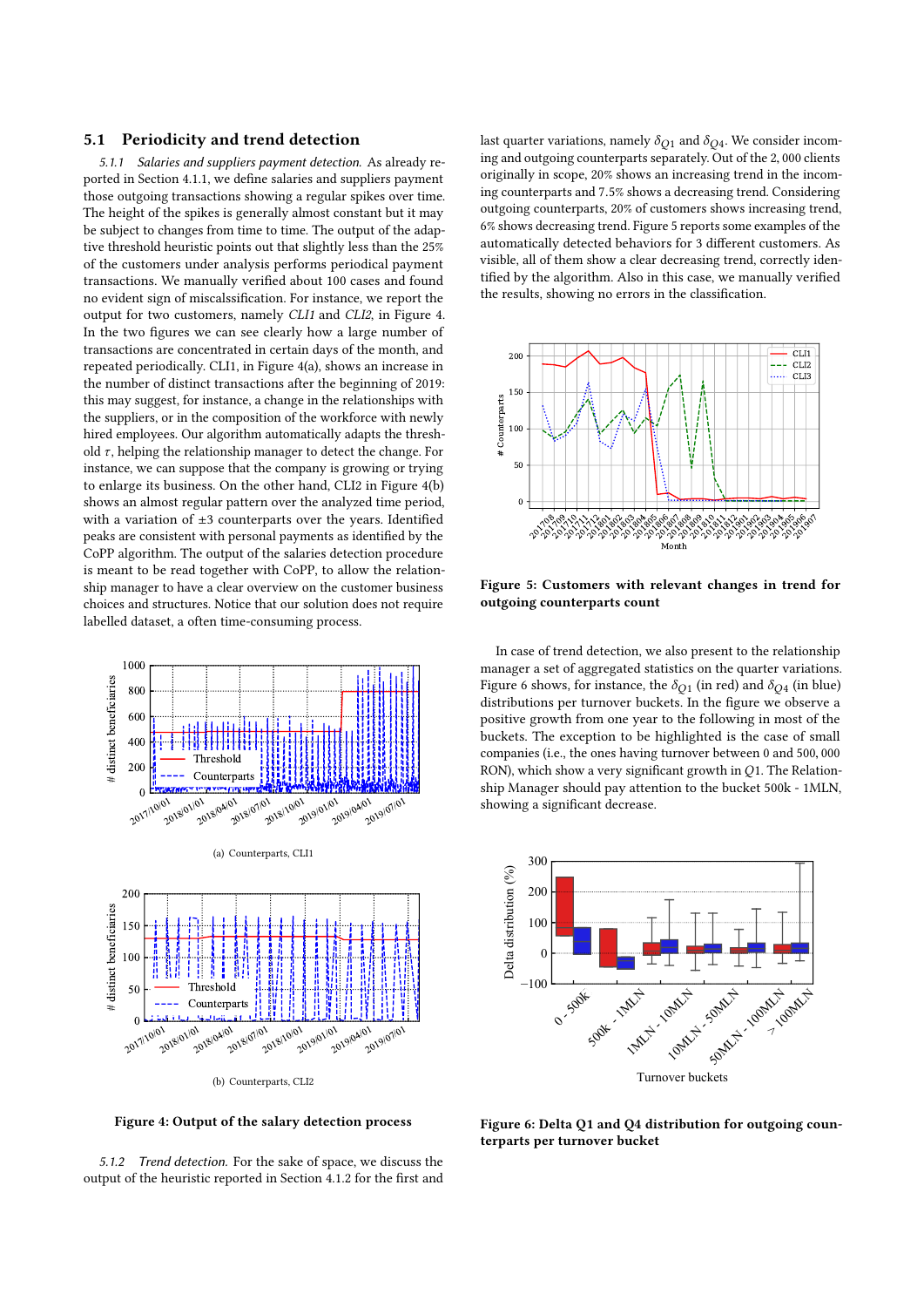#### 5.1 Periodicity and trend detection

5.1.1 Salaries and suppliers payment detection. As already reported in Section [4.1.1,](#page-2-5) we define salaries and suppliers payment those outgoing transactions showing a regular spikes over time. The height of the spikes is generally almost constant but it may be subject to changes from time to time. The output of the adaptive threshold heuristic points out that slightly less than the 25% of the customers under analysis performs periodical payment transactions. We manually verified about 100 cases and found no evident sign of miscalssification. For instance, we report the output for two customers, namely CLI1 and CLI2, in Figure [4.](#page-4-0) In the two figures we can see clearly how a large number of transactions are concentrated in certain days of the month, and repeated periodically. CLI1, in Figure [4\(a\),](#page-4-1) shows an increase in the number of distinct transactions after the beginning of 2019: this may suggest, for instance, a change in the relationships with the suppliers, or in the composition of the workforce with newly hired employees. Our algorithm automatically adapts the threshold  $\tau$ , helping the relationship manager to detect the change. For instance, we can suppose that the company is growing or trying to enlarge its business. On the other hand, CLI2 in Figure [4\(b\)](#page-4-2) shows an almost regular pattern over the analyzed time period, with a variation of  $\pm 3$  counterparts over the years. Identified peaks are consistent with personal payments as identified by the CoPP algorithm. The output of the salaries detection procedure is meant to be read together with CoPP, to allow the relationship manager to have a clear overview on the customer business choices and structures. Notice that our solution does not require labelled dataset, a often time-consuming process.

<span id="page-4-1"></span><span id="page-4-0"></span>

<span id="page-4-2"></span>Figure 4: Output of the salary detection process

5.1.2 Trend detection. For the sake of space, we discuss the output of the heuristic reported in Section [4.1.2](#page-2-6) for the first and last quarter variations, namely  $\delta_{Q1}$  and  $\delta_{Q4}$ . We consider incoming and outgoing counterparts separately. Out of the <sup>2</sup>, <sup>000</sup> clients originally in scope, 20% shows an increasing trend in the incoming counterparts and <sup>7</sup>.5% shows a decreasing trend. Considering outgoing counterparts, 20% of customers shows increasing trend, 6% shows decreasing trend. Figure [5](#page-4-3) reports some examples of the automatically detected behaviors for 3 different customers. As visible, all of them show a clear decreasing trend, correctly identified by the algorithm. Also in this case, we manually verified the results, showing no errors in the classification.

<span id="page-4-3"></span>

Figure 5: Customers with relevant changes in trend for outgoing counterparts count

In case of trend detection, we also present to the relationship manager a set of aggregated statistics on the quarter variations. Figure [6](#page-4-4) shows, for instance, the  $\delta_{O1}$  (in red) and  $\delta_{O4}$  (in blue) distributions per turnover buckets. In the figure we observe a positive growth from one year to the following in most of the buckets. The exception to be highlighted is the case of small companies (i.e., the ones having turnover between <sup>0</sup> and <sup>500</sup>, <sup>000</sup> RON), which show a very significant growth in Q1. The Relationship Manager should pay attention to the bucket 500k - 1MLN, showing a significant decrease.

<span id="page-4-4"></span>

Figure 6: Delta Q1 and Q4 distribution for outgoing counterparts per turnover bucket